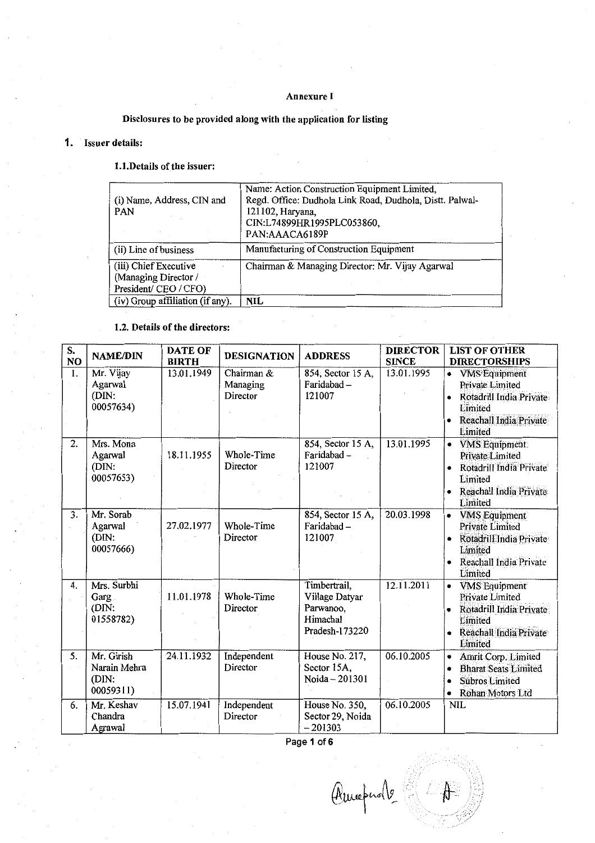### Annexure I

Disclosures to be provided along witb the application for listing

# 1. Issuer details:

### 1.1.Details of the issuer:

| (i) Name, Address, CIN and<br>PAN                                      | Name: Action Construction Equipment Limited,<br>Regd. Office: Dudhola Link Road, Dudhola, Distt. Palwal-<br>121102, Haryana,<br>CIN:L74899HR1995PLC053860,<br>PAN:AAACA6189P |
|------------------------------------------------------------------------|------------------------------------------------------------------------------------------------------------------------------------------------------------------------------|
| (ii) Line of business                                                  | Manufacturing of Construction Equipment                                                                                                                                      |
| (iii) Chief Executive<br>(Managing Director /<br>President/ CEO / CFO) | Chairman & Managing Director: Mr. Vijay Agarwal                                                                                                                              |
| (iv) Group affiliation (if any).                                       | <b>NIL</b>                                                                                                                                                                   |

# 1.2. Details of the directors:

| S.<br>NO         | <b>NAME/DIN</b>                                  | <b>DATE OF</b><br><b>BIRTH</b> | <b>DESIGNATION</b>                 | <b>ADDRESS</b>                                                            | <b>DIRECTOR</b><br><b>SINCE</b> | <b>LIST OF OTHER</b><br><b>DIRECTORSHIPS</b>                                                                                                      |
|------------------|--------------------------------------------------|--------------------------------|------------------------------------|---------------------------------------------------------------------------|---------------------------------|---------------------------------------------------------------------------------------------------------------------------------------------------|
| 1.               | Mr. Vijay<br>Agarwal<br>(DIN:<br>00057634)       | 13.01.1949                     | Chairman &<br>Managing<br>Director | 854, Sector 15 A,<br>Faridabad-<br>121007                                 | 13.01.1995                      | <b>VMS</b> Equipment<br>۰<br>Private Limited<br>Rotadrill India Private<br>Limited<br>Reachall India Private<br>Limited                           |
| $\overline{2}$ . | Mrs. Mona<br>Agarwal<br>(DIN:<br>00057653)       | 18.11.1955                     | Whole-Time<br>Director             | 854, Sector 15 A,<br>Faridabad-<br>121007                                 | 13.01.1995                      | <b>VMS</b> Equipment<br>$\bullet$<br>Private Limited<br>Rotadrill India Private<br>Limited<br>Reachall India Private<br>$\bullet$<br>Limited      |
| 3.               | Mr. Sorab<br>Agarwal<br>(DIN:<br>00057666)       | 27.02.1977                     | Whole-Time<br>Director             | 854, Sector 15 A,<br>Faridabad-<br>121007                                 | 20.03.1998                      | <b>VMS</b> Equipment<br>$\bullet$<br>Private Limited<br>Rotadrill India Private<br>٠<br>Limited<br>Reachall India Private<br>Limited              |
| 4.               | Mrs. Surbhi<br>Garg<br>(DIN:<br>01558782)        | 11.01.1978                     | Whole-Time<br>Director             | Timbertrail,<br>Village Datyar<br>Parwanoo,<br>Himachal<br>Pradesh-173220 | 12.11.2011                      | <b>VMS</b> Equipment<br>$\bullet$<br>Private Limited<br>Rotadrill India Private<br>$\bullet$<br>Limited<br>Reachall India Private<br>٠<br>Limited |
| 5.               | Mr. Girish<br>Narain Mehra<br>(DIN:<br>00059311) | 24.11.1932                     | Independent<br>Director            | House No. 217,<br>Sector 15A,<br>Noida-201301                             | 06.10.2005                      | Amrit Corp. Limited<br>$\bullet$<br><b>Bharat Seats Limited</b><br>۰<br><b>Subros Limited</b><br>٠<br>Rohan Motors Ltd<br>$\bullet$               |
| 6.               | Mr. Keshav<br>Chandra<br>Agrawal                 | 15.07.1941                     | Independent<br>Director            | House No. 350,<br>Sector 29, Noida<br>$-201303$                           | 06.10.2005                      | <b>NIL</b>                                                                                                                                        |

Amephole A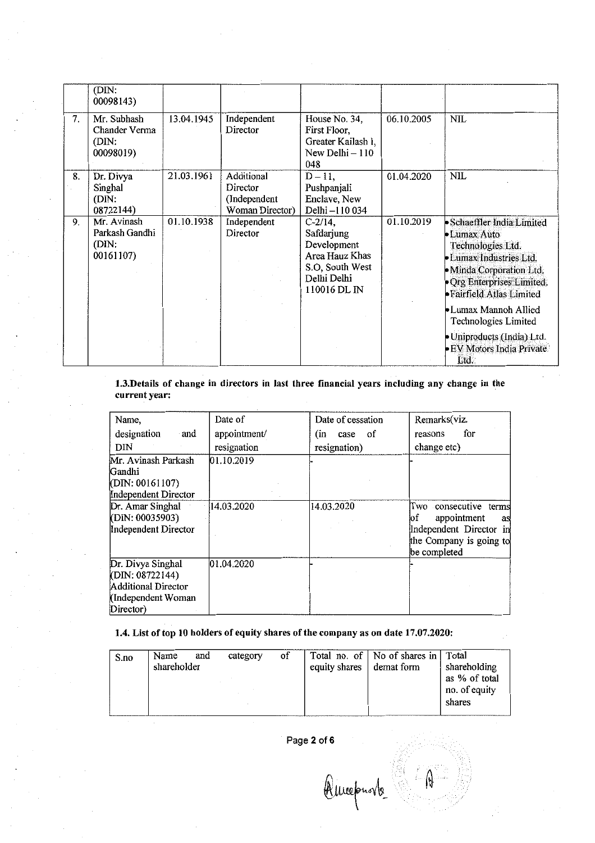|    | (DIN:<br>00098143)                                  |            |                                                           |                                                                                                               |            |                                                                                                                                                                                     |
|----|-----------------------------------------------------|------------|-----------------------------------------------------------|---------------------------------------------------------------------------------------------------------------|------------|-------------------------------------------------------------------------------------------------------------------------------------------------------------------------------------|
| 7. | Mr. Subhash<br>Chander Verma<br>(DIN:<br>00098019)  | 13.04.1945 | Independent<br>Director                                   | House No. 34,<br>First Floor,<br>Greater Kailash I,<br>New Delhi - 110<br>048                                 | 06.10.2005 | <b>NIL</b>                                                                                                                                                                          |
| 8. | Dr. Divya<br>Singhal<br>(DIN:<br>08722144)          | 21.03.1961 | Additional<br>Director<br>(Independent<br>Woman Director) | $D - 11$ ,<br>Pushpanjali<br>Enclave, New<br>Delhi -110 034                                                   | 01.04.2020 | <b>NIL</b>                                                                                                                                                                          |
| 9. | Mr. Avinash<br>Parkash Gandhi<br>(DIN)<br>00161107) | 01.10.1938 | Independent<br>Director                                   | $C - 2/14$ ,<br>Safdarjung<br>Development<br>Area Hauz Khas<br>S.O, South West<br>Delhi Delhi<br>110016 DL IN | 01.10.2019 | Schaeffler India Limited<br>• Lumax Auto<br>Technologies Ltd.<br>$\bullet$ Lumax Industries Ltd.<br>• Minda Corporation Ltd.<br>Org Enterprises Limited.<br>Fairfield Atlas Limited |
|    |                                                     |            |                                                           |                                                                                                               |            | Lumax Mannoh Allied<br>Technologies Limited<br>· Uniproducts (India) Ltd.<br>EV Motors India Private<br>Ltd.                                                                        |

#### 1.3.Details of change in directors in last three financial years including any change in the current year:

| Name,                                                                                                 | Date of      | Date of cessation | Remarks(viz.                                                                                                           |
|-------------------------------------------------------------------------------------------------------|--------------|-------------------|------------------------------------------------------------------------------------------------------------------------|
| designation<br>∙and                                                                                   | appointment/ | case of<br>(in    | for<br>reasons                                                                                                         |
| <b>DIN</b>                                                                                            | resignation  | resignation)      | change etc)                                                                                                            |
| Mr. Avinash Parkash<br>Gandhi<br>(DIN: 00161107)                                                      | 01.10.2019   |                   |                                                                                                                        |
| Independent Director                                                                                  |              |                   |                                                                                                                        |
| Dr. Amar Singhal<br>(DIN: 00035903)<br>Independent Director                                           | 14.03.2020   | 14.03.2020        | Two consecutive terms<br>appointment<br>юf<br>as<br>Independent Director in<br>the Company is going to<br>be completed |
| Dr. Divya Singhal<br>(DIN: 08722144)<br><b>Additional Director</b><br>(Independent Woman<br>Director) | 01.04.2020   |                   |                                                                                                                        |

## 1.4. List of top 10 holders of equity shares of the company as on date 17.07.2020:

| S.no | Name<br>and<br>shareholder | category | of | equity shares | Total no. of   No of shares in   Total<br>demat form | shareholding                             |
|------|----------------------------|----------|----|---------------|------------------------------------------------------|------------------------------------------|
|      |                            |          |    |               |                                                      | as % of total<br>no. of equity<br>shares |

# Page 2 of 6

Ameprote  $\bigcap \limits_{i=1}^n$ ~..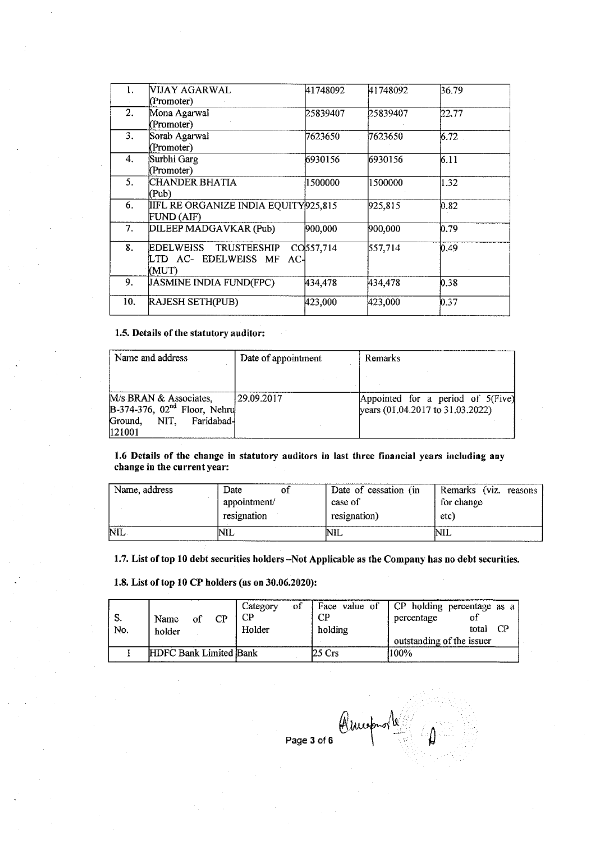| 1.  | VIJAY AGARWAL<br>(Promoter)                                   | 41748092              | 41748092 | 36.79 |
|-----|---------------------------------------------------------------|-----------------------|----------|-------|
| 2.  | Mona Agarwal<br>(Promoter)                                    | 25839407              | 25839407 | 22.77 |
| 3.  | Sorab Agarwal<br>(Promoter)                                   | 7623650               | 7623650  | 6.72  |
| 4.  | Surbhi Garg<br>(Promoter)                                     | 6930156               | 6930156  | 6.11  |
| 5.  | CHANDER BHATIA<br>(Pub)                                       | 1500000               | 1500000  | 1.32  |
| 6.  | <b>IIFL RE ORGANIZE INDIA EQUITY925,815</b><br>FUND (AIF)     |                       | 925,815  | 0.82  |
| 7.  | DILEEP MADGAVKAR (Pub)                                        | 900,000               | 900,000  | 0.79  |
| 8.  | EDELWEISS TRUSTEESHIP<br>LTD AC- EDELWEISS MF<br>AC-<br>(MUT) | CO <sub>557,714</sub> | 557,714  | 0.49  |
| 9.  | JASMINE INDIA FUND(FPC)                                       | 434,478               | 434,478  | 0.38  |
| 10. | <b>RAJESH SETH(PUB)</b>                                       | 423,000               | 423,000  | 0.37  |

## 1.5. Details of the statutory auditor:

| Name and address                                                                                 | Date of appointment | Remarks                                                               |  |  |  |  |
|--------------------------------------------------------------------------------------------------|---------------------|-----------------------------------------------------------------------|--|--|--|--|
|                                                                                                  |                     |                                                                       |  |  |  |  |
| M/s BRAN & Associates,<br>$B-374-376$ , $02nd$ Floor, Nehru<br>Ground, NIT, Faridabad-<br>121001 | 129.09.2017         | Appointed for a period of 5(Five)<br>years (01.04.2017 to 31.03.2022) |  |  |  |  |

1.6 Details of the change in statutory auditors in last three financial years including any change in the current year:

| Name, address | Date         | Date of cessation (in | Remarks (viz. reasons |
|---------------|--------------|-----------------------|-----------------------|
|               | appointment/ | case of               | for change            |
|               | resignation  | resignation)          | etc)                  |
| NIL.          | NIL          | NIL                   | NIL                   |

## 1.7. List of top 10 debt securities holders -Not Applicable as the Company has no debt securities.

1.8. List of top 10CP holders (as on 30.06.2020):

| No. | <b>CP</b><br>-of<br>Name<br>holder | ∙of<br>Category<br>CP<br>Holder | CР<br>holding | Face value of CP holding percentage as a<br>of<br>percentage<br>CP.<br>total<br>outstanding of the issuer |
|-----|------------------------------------|---------------------------------|---------------|-----------------------------------------------------------------------------------------------------------|
|     | HDFC Bank Limited Bank             |                                 | 25 Crs        | 1100%                                                                                                     |

Page 3 of 6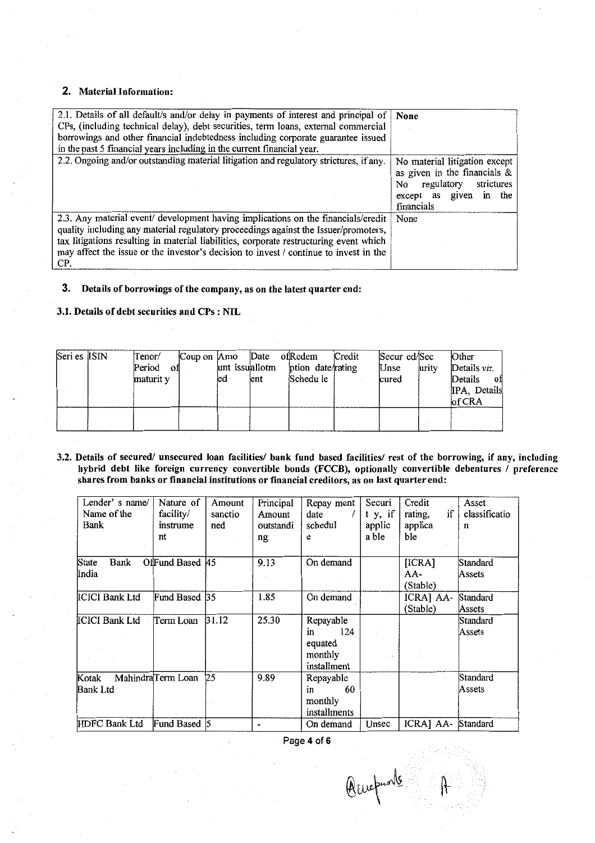# 2. Material Information:

| 2.1. Details of all default's and/or delay in payments of interest and principal of<br>CPs, (including technical delay), debt securities, term loans, external commercial<br>borrowings and other financial indebtedness including corporate guarantee issued<br>in the past 5 financial years including in the current financial year.                            | <b>None</b>                                                                                                                                       |
|--------------------------------------------------------------------------------------------------------------------------------------------------------------------------------------------------------------------------------------------------------------------------------------------------------------------------------------------------------------------|---------------------------------------------------------------------------------------------------------------------------------------------------|
| 2.2. Ongoing and/or outstanding material litigation and regulatory strictures, if any.                                                                                                                                                                                                                                                                             | No material litigation except<br>as given in the financials $\&$<br>strictures<br>regulatory<br>No.<br>in the<br>except as<br>given<br>financials |
| 2.3. Any material event/ development having implications on the financials/credit<br>quality including any material regulatory proceedings against the Issuer/promoters,<br>tax litigations resulting in material liabilities, corporate restructuring event which<br>may affect the issue or the investor's decision to invest / continue to invest in the<br>CP. | None                                                                                                                                              |

### 3. Details of borrowings of the company, as on the latest quarter end:

#### 3.1. Details of debt securities and CPs: NIL

| Seri es ISIN | Tenor/    | Coup on Amo Date of Redem |                |      |                   | Credit | Secur ed/Sec |       | Other        |
|--------------|-----------|---------------------------|----------------|------|-------------------|--------|--------------|-------|--------------|
|              | Period of |                           | unt issuallotm |      | ption date/rating |        | Unse         | urity | Details viz. |
|              | maturit y |                           | ed             | lent | Schedu le         |        | kured        |       | Details      |
|              |           |                           |                |      |                   |        |              |       | IPA, Details |
|              |           |                           |                |      |                   |        |              |       | of CRA       |
|              |           |                           |                |      |                   |        |              |       |              |
|              |           |                           |                |      |                   |        |              |       |              |

3.2. Details of secured/ unsecured loan facilities/ bank fund based facilities/ rest of the borrowing, if any, including hybrid debt like foreign currency convertible bonds (FCCB), optionally convertible debentures / preference shares from banks or financial institutions or financial creditors, as on last quarter end:

| Lender's name/         | Nature of         | Amount  | Principal | Repay ment                                                  | Securi  | Credit                      | Asset                     |
|------------------------|-------------------|---------|-----------|-------------------------------------------------------------|---------|-----------------------------|---------------------------|
| Name of the            | facility/         | sanctio | Amount    | date                                                        | t y, if | if<br>rating,               | classificatio             |
| Bank                   | instrume          | ned     | outstandi | schedul                                                     | applic  | applica                     | n                         |
|                        | nt                |         | ng        | e                                                           | a ble   | ble                         |                           |
| Bank<br>State<br>India | Off und Based 45  |         | 9.13      | On demand                                                   |         | [ICRA]<br>$AA-$<br>(Stable) | Standard<br><b>Assets</b> |
| ICICI Bank Ltd         | Fund Based 35     |         | 1.85      | On demand                                                   |         | ICRA] AA-<br>(Stable)       | Standard<br>Assets        |
| <b>ICICI Bank Ltd</b>  | Term Loan         | 31.12   | 25.30     | Repayable<br>124<br>in<br>equated<br>monthly<br>installment |         |                             | Standard<br>Assets        |
| Kotak<br>Bank Ltd      | MahindraTerm Loan | 25      | 9.89      | Repayable<br>60<br>in<br>monthly<br>installments            |         |                             | Standard<br>Assets        |
| HDFC Bank Ltd          | Fund Based 5      |         |           | On demand                                                   | Unsec   | ICRA] AA- Standard          |                           |

Page 4 of 6

Amefuals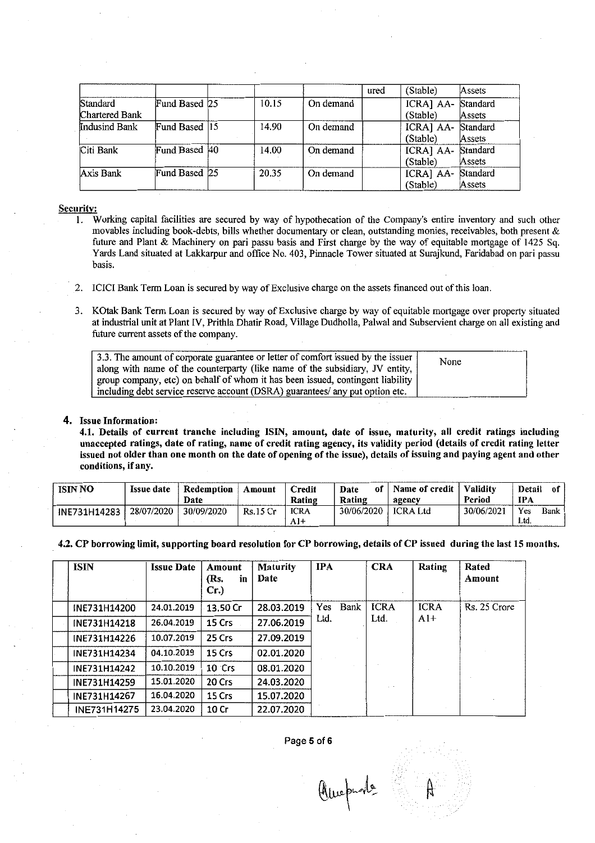|                |               |       |           | ured | (Stable)  | Assets   |
|----------------|---------------|-------|-----------|------|-----------|----------|
| Standard       | Fund Based 25 | 10.15 | On demand |      | ICRA] AA- | Standard |
| Chartered Bank |               |       |           |      | (Stable)  | Assets   |
| Indusind Bank  | Fund Based 15 | 14.90 | On demand |      | ICRA] AA- | Standard |
|                |               |       |           |      | (Stable)  | Assets   |
| Citi Bank      | Fund Based 40 | 14.00 | On demand |      | ICRA] AA- | Standard |
|                |               |       |           |      | (Stable)  | Assets   |
| Axis Bank      | Fund Based 25 | 20.35 | On demand |      | ICRA] AA- | Standard |
|                |               |       |           |      | (Stable)  | Assets   |

#### Security:

- 1. Working capital facilities are secured by way of hypothecation of the Company's entire inventory and such other movables including book-debts, bills whether documentary or clean, outstanding monies, receivables, both present & future and Plant & Machinery on pari passu basis and First charge by the way of equitable mortgage of 1425 Sq. Yards Land situated at Lakkarpur and office No. 403, Pinnacle Tower situated at Surajkund, Faridabad on pari passu basis.
- 2. ICICI Bank Term Loan is secured by way of Exclusive charge on the assets fmanced out of this loan.
- 3. KOtak Bank Term Loan is secured by way of Exclusive charge by way of equitable mortgage over property situated .at industrial unit at Plant IV, Prithla Dhatir Road, Village Dudholla, Palwal and Subservient charge on all existing and future current assets of the company.

| 3.3. The amount of corporate guarantee or letter of comfort issued by the issuer | None |
|----------------------------------------------------------------------------------|------|
| along with name of the counterparty (like name of the subsidiary, JV entity,     |      |
| group company, etc) on behalf of whom it has been issued, contingent liability   |      |
| including debt service reserve account (DSRA) guarantees/ any put option etc.    |      |

#### 4. Issue Information:

4.1. Details of current tranche including ISIN, amount, date of issue, maturity, all credit ratings including unaccepted ratings, date of rating, name of credit rating agency, its validity period (details of credit rating letter issued not older than one month on the date of opening of the issue), details of issuing and paying agent and other conditions, if any.

| <b>ISIN NO</b> | <b>Issue date</b> | Redemption<br>Date | Amount          | <b>Credit</b><br>Rating | Date<br>Rating | of   Name of credit   Validity<br>agency | Period     | Detail<br>of<br><b>IPA</b> |
|----------------|-------------------|--------------------|-----------------|-------------------------|----------------|------------------------------------------|------------|----------------------------|
| INE731H14283   | 28/07/2020        | 30/09/2020         | <b>Rs.15 Cr</b> | <b>ICRA</b><br>$A1+$    | 30/06/2020     | <b>ICRA</b> Ltd                          | 30/06/2021 | Yes<br>Bank<br>Ltd.        |

. 4.2. CP borrowing limit, supporting board resolution for CP borrowing, details of CP issued during the last 15 months.

| <b>ISIN</b>  | <b>Issue Date</b> | Amount<br>(Rs.<br>in<br>Cr.) | <b>Maturity</b><br>Date | <b>IPA</b>          | <b>CRA</b>  | Rating      | Rated<br>Amount |
|--------------|-------------------|------------------------------|-------------------------|---------------------|-------------|-------------|-----------------|
| INE731H14200 | 24.01.2019        | 13.50 Cr                     | 28.03.2019              | Yes<br>Bank<br>Ltd. | <b>ICRA</b> | <b>ICRA</b> | Rs. 25 Crore    |
| INE731H14218 | 26.04.2019        | 15 Crs                       | 27.06.2019              |                     | Ltd.        | $A1+$       |                 |
| INE731H14226 | 10.07.2019        | 25 Crs                       | 27.09.2019              |                     |             |             |                 |
| INE731H14234 | 04.10.2019        | 15 Crs                       | 02.01.2020              |                     |             |             |                 |
| INE731H14242 | 10.10.2019        | 10 Crs                       | 08.01.2020              |                     |             |             |                 |
| INE731H14259 | 15.01.2020        | 20 Crs                       | 24.03.2020              |                     |             |             |                 |
| INE731H14267 | 16.04.2020        | 15 Crs                       | 15.07.2020              |                     |             |             |                 |
| INE731H14275 | 23.04.2020        | 10 Cr                        | 22.07.2020              |                     |             |             |                 |

Page 5 of 6

Amprobe "....:.•..